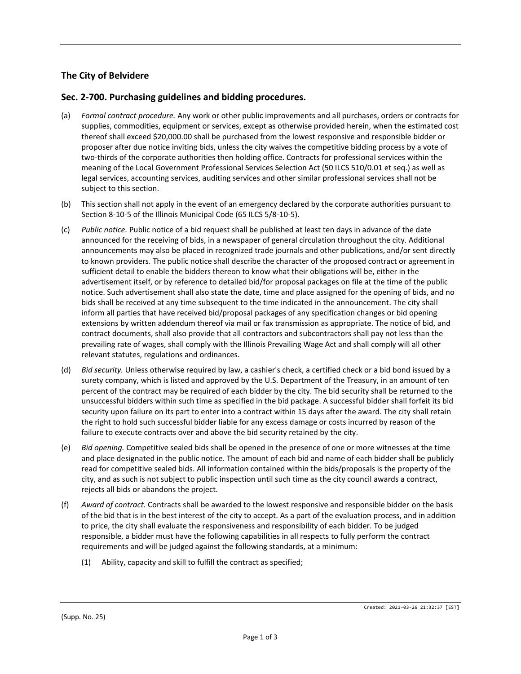## **The City of Belvidere**

## **Sec. 2-700. Purchasing guidelines and bidding procedures.**

- (a) *Formal contract procedure.* Any work or other public improvements and all purchases, orders or contracts for supplies, commodities, equipment or services, except as otherwise provided herein, when the estimated cost thereof shall exceed \$20,000.00 shall be purchased from the lowest responsive and responsible bidder or proposer after due notice inviting bids, unless the city waives the competitive bidding process by a vote of two-thirds of the corporate authorities then holding office. Contracts for professional services within the meaning of the Local Government Professional Services Selection Act (50 ILCS 510/0.01 et seq.) as well as legal services, accounting services, auditing services and other similar professional services shall not be subject to this section.
- (b) This section shall not apply in the event of an emergency declared by the corporate authorities pursuant to Section 8-10-5 of the Illinois Municipal Code (65 ILCS 5/8-10-5).
- (c) *Public notice.* Public notice of a bid request shall be published at least ten days in advance of the date announced for the receiving of bids, in a newspaper of general circulation throughout the city. Additional announcements may also be placed in recognized trade journals and other publications, and/or sent directly to known providers. The public notice shall describe the character of the proposed contract or agreement in sufficient detail to enable the bidders thereon to know what their obligations will be, either in the advertisement itself, or by reference to detailed bid/for proposal packages on file at the time of the public notice. Such advertisement shall also state the date, time and place assigned for the opening of bids, and no bids shall be received at any time subsequent to the time indicated in the announcement. The city shall inform all parties that have received bid/proposal packages of any specification changes or bid opening extensions by written addendum thereof via mail or fax transmission as appropriate. The notice of bid, and contract documents, shall also provide that all contractors and subcontractors shall pay not less than the prevailing rate of wages, shall comply with the Illinois Prevailing Wage Act and shall comply will all other relevant statutes, regulations and ordinances.
- (d) *Bid security.* Unless otherwise required by law, a cashier's check, a certified check or a bid bond issued by a surety company, which is listed and approved by the U.S. Department of the Treasury, in an amount of ten percent of the contract may be required of each bidder by the city. The bid security shall be returned to the unsuccessful bidders within such time as specified in the bid package. A successful bidder shall forfeit its bid security upon failure on its part to enter into a contract within 15 days after the award. The city shall retain the right to hold such successful bidder liable for any excess damage or costs incurred by reason of the failure to execute contracts over and above the bid security retained by the city.
- (e) *Bid opening.* Competitive sealed bids shall be opened in the presence of one or more witnesses at the time and place designated in the public notice. The amount of each bid and name of each bidder shall be publicly read for competitive sealed bids. All information contained within the bids/proposals is the property of the city, and as such is not subject to public inspection until such time as the city council awards a contract, rejects all bids or abandons the project.
- (f) *Award of contract.* Contracts shall be awarded to the lowest responsive and responsible bidder on the basis of the bid that is in the best interest of the city to accept. As a part of the evaluation process, and in addition to price, the city shall evaluate the responsiveness and responsibility of each bidder. To be judged responsible, a bidder must have the following capabilities in all respects to fully perform the contract requirements and will be judged against the following standards, at a minimum:
	- (1) Ability, capacity and skill to fulfill the contract as specified;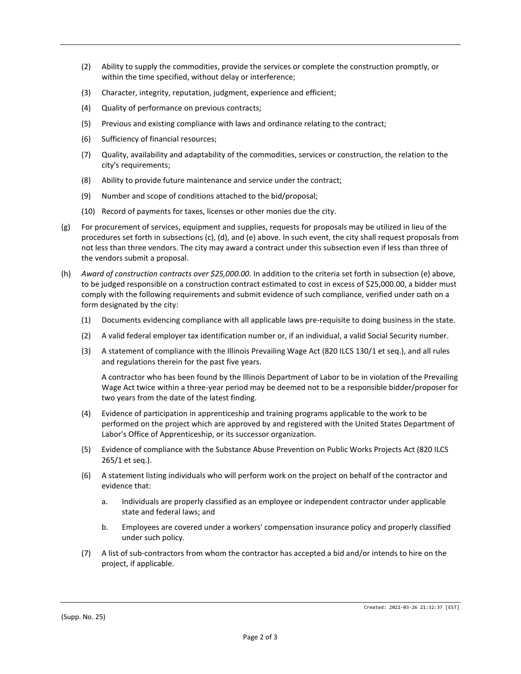- (2) Ability to supply the commodities, provide the services or complete the construction promptly, or within the time specified, without delay or interference;
- (3) Character, integrity, reputation, judgment, experience and efficient;
- (4) Quality of performance on previous contracts;
- (5) Previous and existing compliance with laws and ordinance relating to the contract;
- (6) Sufficiency of financial resources;
- (7) Quality, availability and adaptability of the commodities, services or construction, the relation to the city's requirements;
- (8) Ability to provide future maintenance and service under the contract;
- (9) Number and scope of conditions attached to the bid/proposal;
- (10) Record of payments for taxes, licenses or other monies due the city.
- (g) For procurement of services, equipment and supplies, requests for proposals may be utilized in lieu of the procedures set forth in subsections (c), (d), and (e) above. In such event, the city shall request proposals from not less than three vendors. The city may award a contract under this subsection even if less than three of the vendors submit a proposal.
- (h) *Award of construction contracts over \$25,000.00.* In addition to the criteria set forth in subsection (e) above, to be judged responsible on a construction contract estimated to cost in excess of \$25,000.00, a bidder must comply with the following requirements and submit evidence of such compliance, verified under oath on a form designated by the city:
	- (1) Documents evidencing compliance with all applicable laws pre-requisite to doing business in the state.
	- (2) A valid federal employer tax identification number or, if an individual, a valid Social Security number.
	- (3) A statement of compliance with the Illinois Prevailing Wage Act (820 ILCS 130/1 et seq.), and all rules and regulations therein for the past five years.

A contractor who has been found by the Illinois Department of Labor to be in violation of the Prevailing Wage Act twice within a three-year period may be deemed not to be a responsible bidder/proposer for two years from the date of the latest finding.

- (4) Evidence of participation in apprenticeship and training programs applicable to the work to be performed on the project which are approved by and registered with the United States Department of Labor's Office of Apprenticeship, or its successor organization.
- (5) Evidence of compliance with the Substance Abuse Prevention on Public Works Projects Act (820 ILCS 265/1 et seq.).
- (6) A statement listing individuals who will perform work on the project on behalf of the contractor and evidence that:
	- a. Individuals are properly classified as an employee or independent contractor under applicable state and federal laws; and
	- b. Employees are covered under a workers' compensation insurance policy and properly classified under such policy.
- (7) A list of sub-contractors from whom the contractor has accepted a bid and/or intends to hire on the project, if applicable.

(Supp. No. 25)

Created: 2021-03-26 21:32:37 [EST]